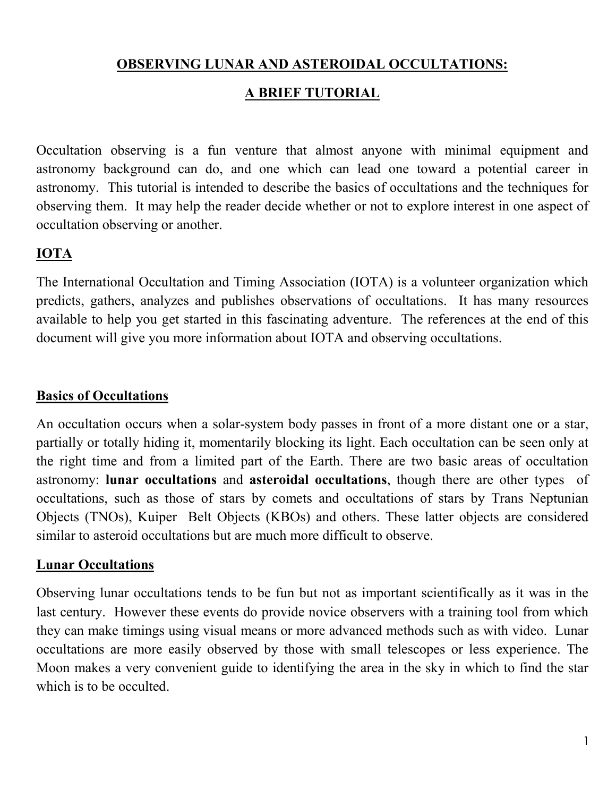# **OBSERVING LUNAR AND ASTEROIDAL OCCULTATIONS:**

## **A BRIEF TUTORIAL**

Occultation observing is a fun venture that almost anyone with minimal equipment and astronomy background can do, and one which can lead one toward a potential career in astronomy. This tutorial is intended to describe the basics of occultations and the techniques for observing them. It may help the reader decide whether or not to explore interest in one aspect of occultation observing or another.

# **IOTA**

The International Occultation and Timing Association (IOTA) is a volunteer organization which predicts, gathers, analyzes and publishes observations of occultations. It has many resources available to help you get started in this fascinating adventure. The references at the end of this document will give you more information about IOTA and observing occultations.

#### **Basics of Occultations**

An occultation occurs when a solar-system body passes in front of a more distant one or a star, partially or totally hiding it, momentarily blocking its light. Each occultation can be seen only at the right time and from a limited part of the Earth. There are two basic areas of occultation astronomy: **lunar occultations** and **asteroidal occultations**, though there are other types of occultations, such as those of stars by comets and occultations of stars by Trans Neptunian Objects (TNOs), Kuiper Belt Objects (KBOs) and others. These latter objects are considered similar to asteroid occultations but are much more difficult to observe.

### **Lunar Occultations**

Observing lunar occultations tends to be fun but not as important scientifically as it was in the last century. However these events do provide novice observers with a training tool from which they can make timings using visual means or more advanced methods such as with video. Lunar occultations are more easily observed by those with small telescopes or less experience. The Moon makes a very convenient guide to identifying the area in the sky in which to find the star which is to be occulted.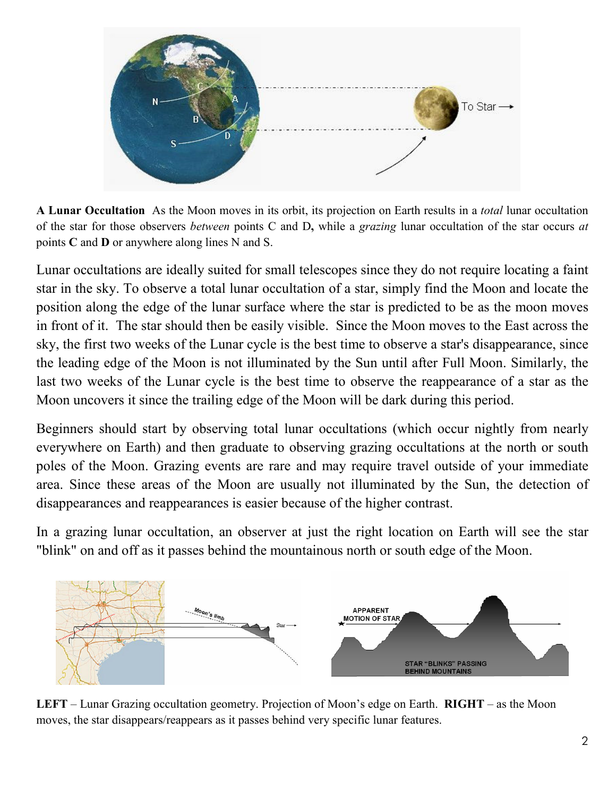

**A Lunar Occultation** As the Moon moves in its orbit, its projection on Earth results in a *total* lunar occultation of the star for those observers *between* points C and D**,** while a *grazing* lunar occultation of the star occurs *at* points **C** and **D** or anywhere along lines N and S.

Lunar occultations are ideally suited for small telescopes since they do not require locating a faint star in the sky. To observe a total lunar occultation of a star, simply find the Moon and locate the position along the edge of the lunar surface where the star is predicted to be as the moon moves in front of it. The star should then be easily visible. Since the Moon moves to the East across the sky, the first two weeks of the Lunar cycle is the best time to observe a star's disappearance, since the leading edge of the Moon is not illuminated by the Sun until after Full Moon. Similarly, the last two weeks of the Lunar cycle is the best time to observe the reappearance of a star as the Moon uncovers it since the trailing edge of the Moon will be dark during this period.

Beginners should start by observing total lunar occultations (which occur nightly from nearly everywhere on Earth) and then graduate to observing grazing occultations at the north or south poles of the Moon. Grazing events are rare and may require travel outside of your immediate area. Since these areas of the Moon are usually not illuminated by the Sun, the detection of disappearances and reappearances is easier because of the higher contrast.

In a grazing lunar occultation, an observer at just the right location on Earth will see the star "blink" on and off as it passes behind the mountainous north or south edge of the Moon.



**LEFT** – Lunar Grazing occultation geometry. Projection of Moon's edge on Earth. **RIGHT** – as the Moon moves, the star disappears/reappears as it passes behind very specific lunar features.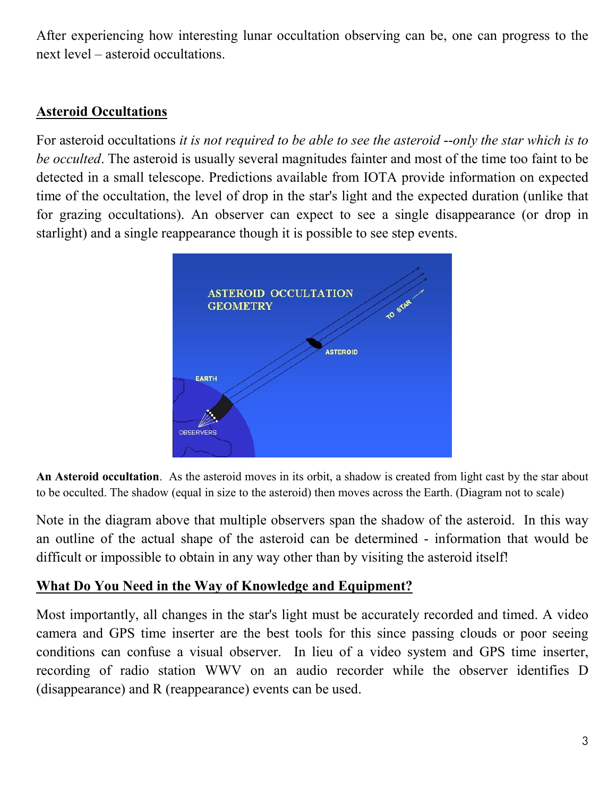After experiencing how interesting lunar occultation observing can be, one can progress to the next level – asteroid occultations.

## **Asteroid Occultations**

For asteroid occultations *it is not required to be able to see the asteroid* --*only the star which is to be occulted*. The asteroid is usually several magnitudes fainter and most of the time too faint to be detected in a small telescope. Predictions available from IOTA provide information on expected time of the occultation, the level of drop in the star's light and the expected duration (unlike that for grazing occultations). An observer can expect to see a single disappearance (or drop in starlight) and a single reappearance though it is possible to see step events.



**An Asteroid occultation**. As the asteroid moves in its orbit, a shadow is created from light cast by the star about to be occulted. The shadow (equal in size to the asteroid) then moves across the Earth. (Diagram not to scale)

Note in the diagram above that multiple observers span the shadow of the asteroid. In this way an outline of the actual shape of the asteroid can be determined - information that would be difficult or impossible to obtain in any way other than by visiting the asteroid itself!

## **What Do You Need in the Way of Knowledge and Equipment?**

Most importantly, all changes in the star's light must be accurately recorded and timed. A video camera and GPS time inserter are the best tools for this since passing clouds or poor seeing conditions can confuse a visual observer. In lieu of a video system and GPS time inserter, recording of radio station WWV on an audio recorder while the observer identifies D (disappearance) and R (reappearance) events can be used.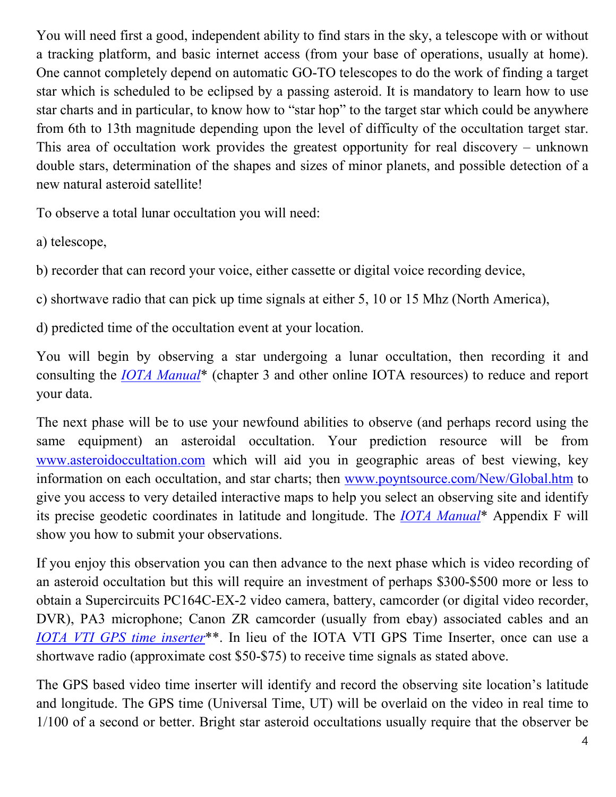You will need first a good, independent ability to find stars in the sky, a telescope with or without a tracking platform, and basic internet access (from your base of operations, usually at home). One cannot completely depend on automatic GO-TO telescopes to do the work of finding a target star which is scheduled to be eclipsed by a passing asteroid. It is mandatory to learn how to use star charts and in particular, to know how to "star hop" to the target star which could be anywhere from 6th to 13th magnitude depending upon the level of difficulty of the occultation target star. This area of occultation work provides the greatest opportunity for real discovery – unknown double stars, determination of the shapes and sizes of minor planets, and possible detection of a new natural asteroid satellite!

To observe a total lunar occultation you will need:

a) telescope,

b) recorder that can record your voice, either cassette or digital voice recording device,

c) shortwave radio that can pick up time signals at either 5, 10 or 15 Mhz (North America),

d) predicted time of the occultation event at your location.

You will begin by observing a star undergoing a lunar occultation, then recording it and consulting the *IOTA Manual*\* (chapter 3 and other online IOTA resources) to reduce and report your data.

The next phase will be to use your newfound abilities to observe (and perhaps record using the same equipment) an asteroidal occultation. Your prediction resource will be from www.asteroidoccultation.com which will aid you in geographic areas of best viewing, key information on each occultation, and star charts; then www.poyntsource.com/New/Global.htm to give you access to very detailed interactive maps to help you select an observing site and identify its precise geodetic coordinates in latitude and longitude. The *IOTA Manual*\* Appendix F will show you how to submit your observations.

If you enjoy this observation you can then advance to the next phase which is video recording of an asteroid occultation but this will require an investment of perhaps \$300-\$500 more or less to obtain a Supercircuits PC164C-EX-2 video camera, battery, camcorder (or digital video recorder, DVR), PA3 microphone; Canon ZR camcorder (usually from ebay) associated cables and an *IOTA VTI GPS time inserter*\*\*. In lieu of the IOTA VTI GPS Time Inserter, once can use a shortwave radio (approximate cost \$50-\$75) to receive time signals as stated above.

The GPS based video time inserter will identify and record the observing site location's latitude and longitude. The GPS time (Universal Time, UT) will be overlaid on the video in real time to 1/100 of a second or better. Bright star asteroid occultations usually require that the observer be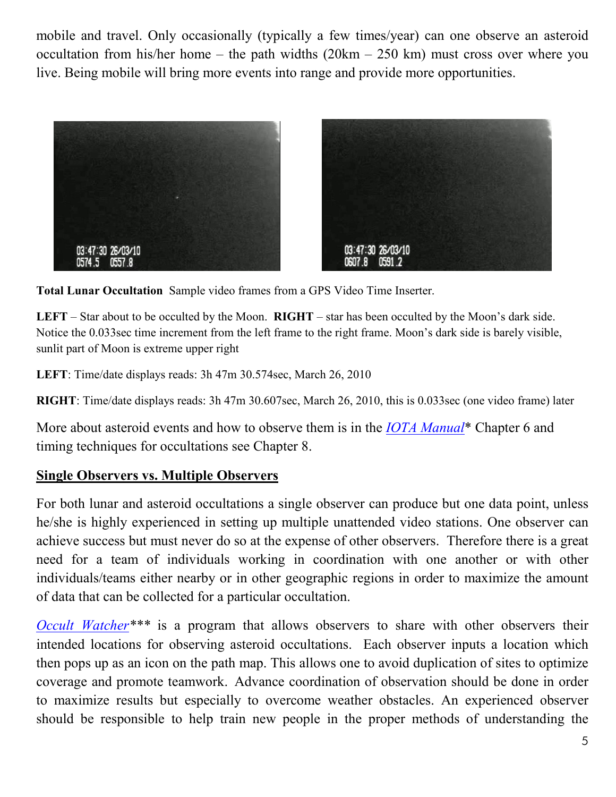mobile and travel. Only occasionally (typically a few times/year) can one observe an asteroid occultation from his/her home – the path widths  $(20km - 250 km)$  must cross over where you live. Being mobile will bring more events into range and provide more opportunities.





**Total Lunar Occultation** Sample video frames from a GPS Video Time Inserter.

**LEFT** – Star about to be occulted by the Moon. **RIGHT** – star has been occulted by the Moon's dark side. Notice the 0.033sec time increment from the left frame to the right frame. Moon's dark side is barely visible, sunlit part of Moon is extreme upper right

**LEFT**: Time/date displays reads: 3h 47m 30.574sec, March 26, 2010

**RIGHT**: Time/date displays reads: 3h 47m 30.607sec, March 26, 2010, this is 0.033sec (one video frame) later

More about asteroid events and how to observe them is in the *IOTA Manual*\* Chapter 6 and timing techniques for occultations see Chapter 8.

## **Single Observers vs. Multiple Observers**

For both lunar and asteroid occultations a single observer can produce but one data point, unless he/she is highly experienced in setting up multiple unattended video stations. One observer can achieve success but must never do so at the expense of other observers. Therefore there is a great need for a team of individuals working in coordination with one another or with other individuals/teams either nearby or in other geographic regions in order to maximize the amount of data that can be collected for a particular occultation.

*Occult Watcher\*\*\** is a program that allows observers to share with other observers their intended locations for observing asteroid occultations. Each observer inputs a location which then pops up as an icon on the path map. This allows one to avoid duplication of sites to optimize coverage and promote teamwork. Advance coordination of observation should be done in order to maximize results but especially to overcome weather obstacles. An experienced observer should be responsible to help train new people in the proper methods of understanding the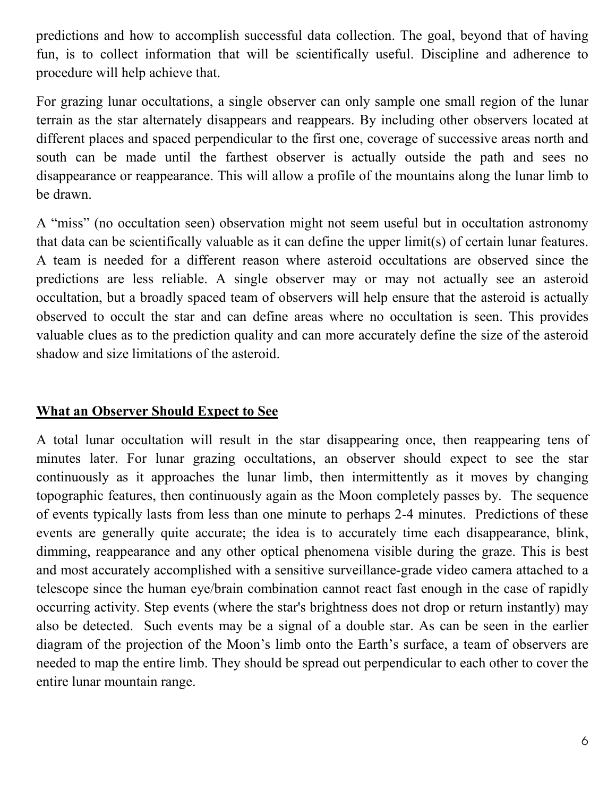predictions and how to accomplish successful data collection. The goal, beyond that of having fun, is to collect information that will be scientifically useful. Discipline and adherence to procedure will help achieve that.

For grazing lunar occultations, a single observer can only sample one small region of the lunar terrain as the star alternately disappears and reappears. By including other observers located at different places and spaced perpendicular to the first one, coverage of successive areas north and south can be made until the farthest observer is actually outside the path and sees no disappearance or reappearance. This will allow a profile of the mountains along the lunar limb to be drawn.

A "miss" (no occultation seen) observation might not seem useful but in occultation astronomy that data can be scientifically valuable as it can define the upper limit(s) of certain lunar features. A team is needed for a different reason where asteroid occultations are observed since the predictions are less reliable. A single observer may or may not actually see an asteroid occultation, but a broadly spaced team of observers will help ensure that the asteroid is actually observed to occult the star and can define areas where no occultation is seen. This provides valuable clues as to the prediction quality and can more accurately define the size of the asteroid shadow and size limitations of the asteroid.

## **What an Observer Should Expect to See**

A total lunar occultation will result in the star disappearing once, then reappearing tens of minutes later. For lunar grazing occultations, an observer should expect to see the star continuously as it approaches the lunar limb, then intermittently as it moves by changing topographic features, then continuously again as the Moon completely passes by. The sequence of events typically lasts from less than one minute to perhaps 2-4 minutes. Predictions of these events are generally quite accurate; the idea is to accurately time each disappearance, blink, dimming, reappearance and any other optical phenomena visible during the graze. This is best and most accurately accomplished with a sensitive surveillance-grade video camera attached to a telescope since the human eye/brain combination cannot react fast enough in the case of rapidly occurring activity. Step events (where the star's brightness does not drop or return instantly) may also be detected. Such events may be a signal of a double star. As can be seen in the earlier diagram of the projection of the Moon's limb onto the Earth's surface, a team of observers are needed to map the entire limb. They should be spread out perpendicular to each other to cover the entire lunar mountain range.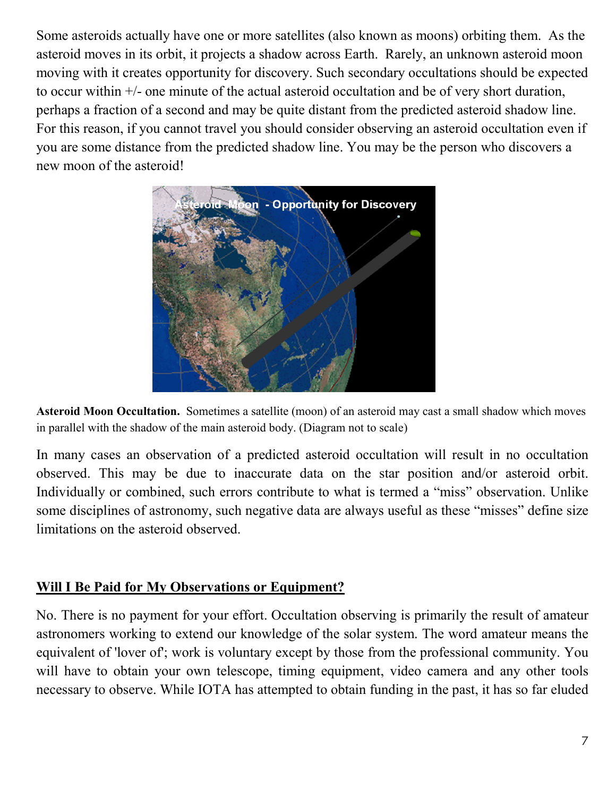Some asteroids actually have one or more satellites (also known as moons) orbiting them. As the asteroid moves in its orbit, it projects a shadow across Earth. Rarely, an unknown asteroid moon moving with it creates opportunity for discovery. Such secondary occultations should be expected to occur within +/- one minute of the actual asteroid occultation and be of very short duration, perhaps a fraction of a second and may be quite distant from the predicted asteroid shadow line. For this reason, if you cannot travel you should consider observing an asteroid occultation even if you are some distance from the predicted shadow line. You may be the person who discovers a new moon of the asteroid!



**Asteroid Moon Occultation.** Sometimes a satellite (moon) of an asteroid may cast a small shadow which moves in parallel with the shadow of the main asteroid body. (Diagram not to scale)

In many cases an observation of a predicted asteroid occultation will result in no occultation observed. This may be due to inaccurate data on the star position and/or asteroid orbit. Individually or combined, such errors contribute to what is termed a "miss" observation. Unlike some disciplines of astronomy, such negative data are always useful as these "misses" define size limitations on the asteroid observed.

### **Will I Be Paid for My Observations or Equipment?**

No. There is no payment for your effort. Occultation observing is primarily the result of amateur astronomers working to extend our knowledge of the solar system. The word amateur means the equivalent of 'lover of'; work is voluntary except by those from the professional community. You will have to obtain your own telescope, timing equipment, video camera and any other tools necessary to observe. While IOTA has attempted to obtain funding in the past, it has so far eluded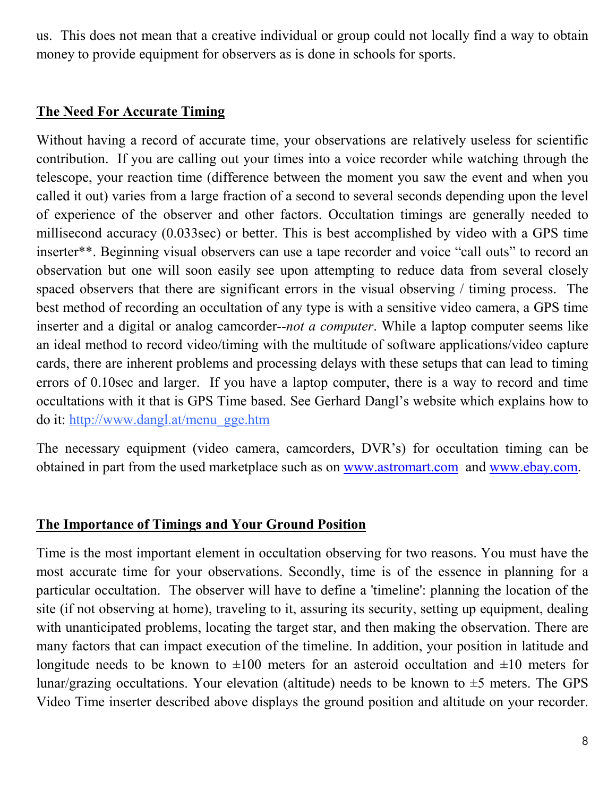us. This does not mean that a creative individual or group could not locally find a way to obtain money to provide equipment for observers as is done in schools for sports.

## **The Need For Accurate Timing**

Without having a record of accurate time, your observations are relatively useless for scientific contribution. If you are calling out your times into a voice recorder while watching through the telescope, your reaction time (difference between the moment you saw the event and when you called it out) varies from a large fraction of a second to several seconds depending upon the level of experience of the observer and other factors. Occultation timings are generally needed to millisecond accuracy (0.033sec) or better. This is best accomplished by video with a GPS time inserter\*\*. Beginning visual observers can use a tape recorder and voice "call outs" to record an observation but one will soon easily see upon attempting to reduce data from several closely spaced observers that there are significant errors in the visual observing / timing process. The best method of recording an occultation of any type is with a sensitive video camera, a GPS time inserter and a digital or analog camcorder--*not a computer*. While a laptop computer seems like an ideal method to record video/timing with the multitude of software applications/video capture cards, there are inherent problems and processing delays with these setups that can lead to timing errors of 0.10sec and larger. If you have a laptop computer, there is a way to record and time occultations with it that is GPS Time based. See Gerhard Dangl's website which explains how to do it: http://www.dangl.at/menu\_gge.htm

The necessary equipment (video camera, camcorders, DVR's) for occultation timing can be obtained in part from the used marketplace such as on www.astromart.com and www.ebay.com.

### **The Importance of Timings and Your Ground Position**

Time is the most important element in occultation observing for two reasons. You must have the most accurate time for your observations. Secondly, time is of the essence in planning for a particular occultation. The observer will have to define a 'timeline': planning the location of the site (if not observing at home), traveling to it, assuring its security, setting up equipment, dealing with unanticipated problems, locating the target star, and then making the observation. There are many factors that can impact execution of the timeline. In addition, your position in latitude and longitude needs to be known to  $\pm 100$  meters for an asteroid occultation and  $\pm 10$  meters for lunar/grazing occultations. Your elevation (altitude) needs to be known to  $\pm$ 5 meters. The GPS Video Time inserter described above displays the ground position and altitude on your recorder.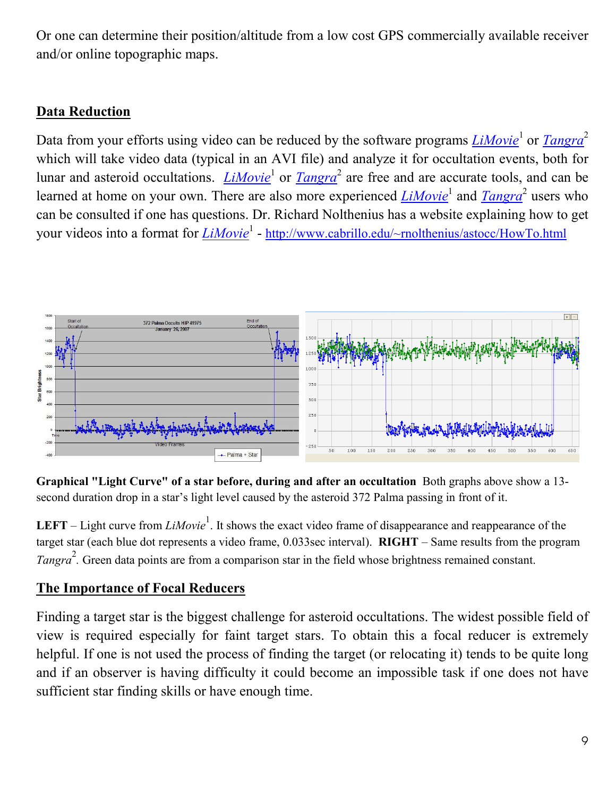Or one can determine their position/altitude from a low cost GPS commercially available receiver and/or online topographic maps.

# **Data Reduction**

Data from your efforts using video can be reduced by the software programs *LiMovie*<sup>1</sup> or *Tangra*<sup>2</sup> which will take video data (typical in an AVI file) and analyze it for occultation events, both for lunar and asteroid occultations. *LiMovie*<sup>1</sup> or *Tangra*<sup>2</sup> are free and are accurate tools, and can be learned at home on your own. There are also more experienced *LiMovie*<sup>1</sup> and *Tangra*<sup>2</sup> users who can be consulted if one has questions. Dr. Richard Nolthenius has a website explaining how to get your videos into a format for  $\frac{LiMovie^1 - \frac{http://www.cabrillo.edu/~molthenius/astocc/HowTo.html}{$ 



**Graphical "Light Curve" of a star before, during and after an occultation** Both graphs above show a 13 second duration drop in a star's light level caused by the asteroid 372 Palma passing in front of it.

**LEFT** – Light curve from *LiMovie*<sup>1</sup>. It shows the exact video frame of disappearance and reappearance of the target star (each blue dot represents a video frame, 0.033sec interval). **RIGHT** – Same results from the program *Tangra*<sup>2</sup>. Green data points are from a comparison star in the field whose brightness remained constant.

## **The Importance of Focal Reducers**

Finding a target star is the biggest challenge for asteroid occultations. The widest possible field of view is required especially for faint target stars. To obtain this a focal reducer is extremely helpful. If one is not used the process of finding the target (or relocating it) tends to be quite long and if an observer is having difficulty it could become an impossible task if one does not have sufficient star finding skills or have enough time.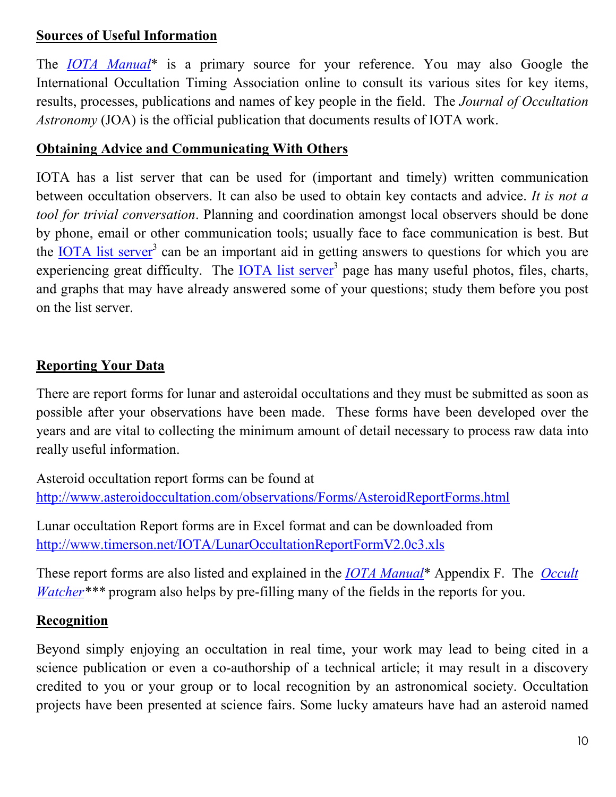## **Sources of Useful Information**

The *IOTA Manual*\* is a primary source for your reference. You may also Google the International Occultation Timing Association online to consult its various sites for key items, results, processes, publications and names of key people in the field. The *Journal of Occultation Astronomy* (JOA) is the official publication that documents results of IOTA work.

### **Obtaining Advice and Communicating With Others**

IOTA has a list server that can be used for (important and timely) written communication between occultation observers. It can also be used to obtain key contacts and advice. *It is not a tool for trivial conversation*. Planning and coordination amongst local observers should be done by phone, email or other communication tools; usually face to face communication is best. But the **IOTA** list server<sup>3</sup> can be an important aid in getting answers to questions for which you are experiencing great difficulty. The **IOTA** list server<sup>3</sup> page has many useful photos, files, charts, and graphs that may have already answered some of your questions; study them before you post on the list server.

# **Reporting Your Data**

There are report forms for lunar and asteroidal occultations and they must be submitted as soon as possible after your observations have been made. These forms have been developed over the years and are vital to collecting the minimum amount of detail necessary to process raw data into really useful information.

Asteroid occultation report forms can be found at http://www.asteroidoccultation.com/observations/Forms/AsteroidReportForms.html

Lunar occultation Report forms are in Excel format and can be downloaded from http://www.timerson.net/IOTA/LunarOccultationReportFormV2.0c3.xls

These report forms are also listed and explained in the *IOTA Manual*\* Appendix F. The *Occult Watcher*\*\*\* program also helps by pre-filling many of the fields in the reports for you.

### **Recognition**

Beyond simply enjoying an occultation in real time, your work may lead to being cited in a science publication or even a co-authorship of a technical article; it may result in a discovery credited to you or your group or to local recognition by an astronomical society. Occultation projects have been presented at science fairs. Some lucky amateurs have had an asteroid named